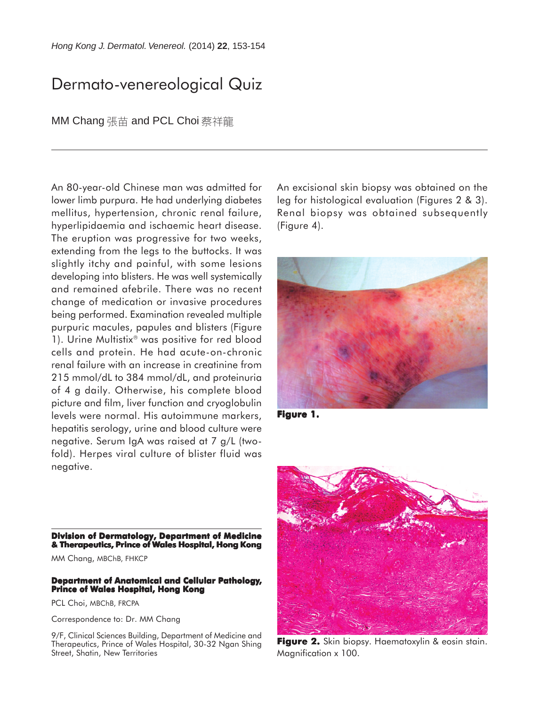## Dermato-venereological Quiz

MM Chang 張苗 and PCL Choi 蔡祥龍

An 80-year-old Chinese man was admitted for lower limb purpura. He had underlying diabetes mellitus, hypertension, chronic renal failure, hyperlipidaemia and ischaemic heart disease. The eruption was progressive for two weeks, extending from the legs to the buttocks. It was slightly itchy and painful, with some lesions developing into blisters. He was well systemically and remained afebrile. There was no recent change of medication or invasive procedures being performed. Examination revealed multiple purpuric macules, papules and blisters (Figure 1). Urine Multistix<sup>®</sup> was positive for red blood cells and protein. He had acute-on-chronic renal failure with an increase in creatinine from 215 mmol/dL to 384 mmol/dL, and proteinuria of 4 g daily. Otherwise, his complete blood picture and film, liver function and cryoglobulin levels were normal. His autoimmune markers, hepatitis serology, urine and blood culture were negative. Serum IgA was raised at 7 g/L (twofold). Herpes viral culture of blister fluid was negative.

An excisional skin biopsy was obtained on the leg for histological evaluation (Figures 2 & 3). Renal biopsy was obtained subsequently (Figure 4).



**Figure 1. 1.**



**Figure 2.** Skin biopsy. Haematoxylin & eosin stain. Magnification x 100.

**Division of Dermatology, Department of Medicine & Therapeutics, Prince of Wales Hospital, Hong Kong**

MM Chang, MBChB, FHKCP

## **Department of Anatomical and Cellular Pathology, Prince of Wales Hospital, Hong Kong**

PCL Choi, MBChB, FRCPA

Correspondence to: Dr. MM Chang

9/F, Clinical Sciences Building, Department of Medicine and Therapeutics, Prince of Wales Hospital, 30-32 Ngan Shing Street, Shatin, New Territories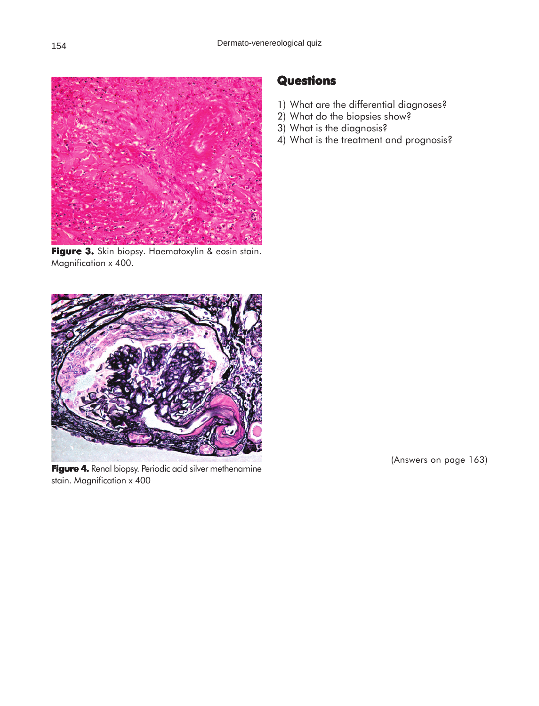

**Figure 3.** Skin biopsy. Haematoxylin & eosin stain. Magnification x 400.



Figure 4. Renal biopsy. Periodic acid silver methenamine stain. Magnification x 400

## **Questions**

- 1) What are the differential diagnoses?
- 2) What do the biopsies show?
- 3) What is the diagnosis?
- 4) What is the treatment and prognosis?

(Answers on page 163)